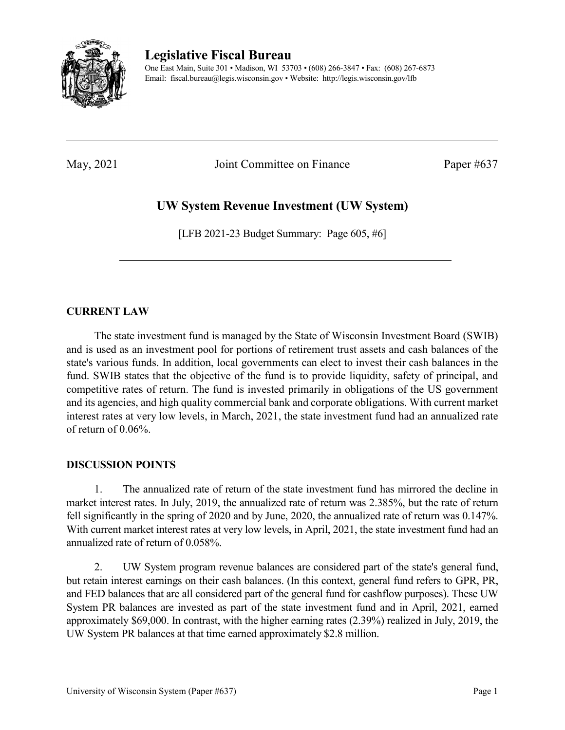

**Legislative Fiscal Bureau**

One East Main, Suite 301 • Madison, WI 53703 • (608) 266-3847 • Fax: (608) 267-6873 Email: fiscal.bureau@legis.wisconsin.gov • Website:<http://legis.wisconsin.gov/lfb>

May, 2021 Joint Committee on Finance Paper #637

## **UW System Revenue Investment (UW System)**

[LFB 2021-23 Budget Summary: Page 605, #6]

## **CURRENT LAW**

The state investment fund is managed by the State of Wisconsin Investment Board (SWIB) and is used as an investment pool for portions of retirement trust assets and cash balances of the state's various funds. In addition, local governments can elect to invest their cash balances in the fund. SWIB states that the objective of the fund is to provide liquidity, safety of principal, and competitive rates of return. The fund is invested primarily in obligations of the US government and its agencies, and high quality commercial bank and corporate obligations. With current market interest rates at very low levels, in March, 2021, the state investment fund had an annualized rate of return of 0.06%.

## **DISCUSSION POINTS**

1. The annualized rate of return of the state investment fund has mirrored the decline in market interest rates. In July, 2019, the annualized rate of return was 2.385%, but the rate of return fell significantly in the spring of 2020 and by June, 2020, the annualized rate of return was 0.147%. With current market interest rates at very low levels, in April, 2021, the state investment fund had an annualized rate of return of 0.058%.

2. UW System program revenue balances are considered part of the state's general fund, but retain interest earnings on their cash balances. (In this context, general fund refers to GPR, PR, and FED balances that are all considered part of the general fund for cashflow purposes). These UW System PR balances are invested as part of the state investment fund and in April, 2021, earned approximately \$69,000. In contrast, with the higher earning rates (2.39%) realized in July, 2019, the UW System PR balances at that time earned approximately \$2.8 million.